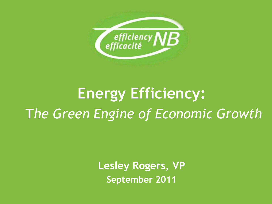

## **Energy Efficiency: T***he Green Engine of Economic Growth*

**Lesley Rogers, VP September 2011**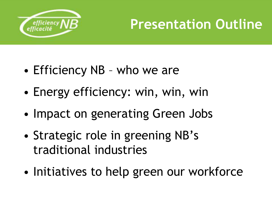

#### **Presentation Outline**

- Efficiency NB who we are
- Energy efficiency: win, win, win
- Impact on generating Green Jobs
- Strategic role in greening NB's traditional industries
- Initiatives to help green our workforce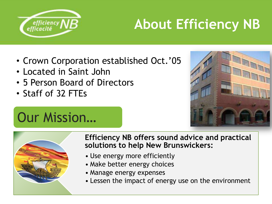

## **About Efficiency NB**

- Crown Corporation established Oct.'05
- Located in Saint John
- 5 Person Board of Directors
- Staff of 32 FTEs



### Our Mission…



#### **Efficiency NB offers sound advice and practical solutions to help New Brunswickers:**

- Use energy more efficiently
- Make better energy choices
- Manage energy expenses
- Lessen the impact of energy use on the environment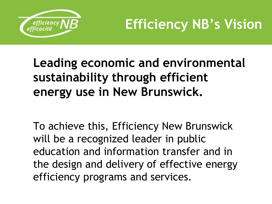

## **Efficiency NB's Vision**

#### **Leading economic and environmental sustainability through efficient energy use in New Brunswick.**

To achieve this, Efficiency New Brunswick will be a recognized leader in public education and information transfer and in the design and delivery of effective energy efficiency programs and services.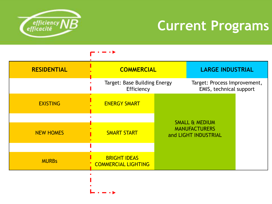

#### **Current Programs**

| <b>RESIDENTIAL</b> | <b>COMMERCIAL</b>                                 | <b>LARGE INDUSTRIAL</b>                                                   |
|--------------------|---------------------------------------------------|---------------------------------------------------------------------------|
|                    | <b>Target: Base Building Energy</b><br>Efficiency | Target: Process Improvement,<br>EMIS, technical support                   |
| <b>EXISTING</b>    | <b>ENERGY SMART</b>                               |                                                                           |
| <b>NEW HOMES</b>   | <b>SMART START</b>                                | <b>SMALL &amp; MEDIUM</b><br><b>MANUFACTURERS</b><br>and LIGHT INDUSTRIAL |
| <b>MURBs</b>       | <b>BRIGHT IDEAS</b><br><b>COMMERCIAL LIGHTING</b> |                                                                           |
|                    |                                                   |                                                                           |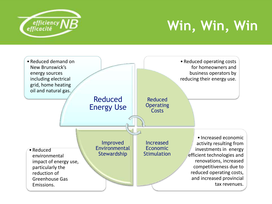

## **Win, Win, Win**

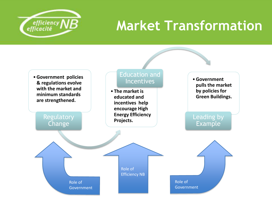

#### **Market Transformation**

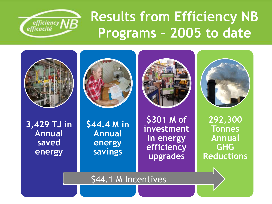

## **Results from Efficiency NB Programs – 2005 to date**









**3,429 TJ in Annual saved energy**

**\$44.4 M in Annual energy savings**

**\$301 M of investment in energy efficiency upgrades**

**292,300 Tonnes Annual GHG Reductions**

\$44.1 M Incentives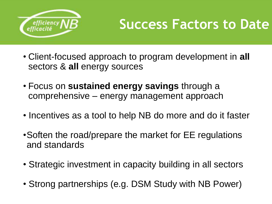

#### **Success Factors to Date**

- Client-focused approach to program development in **all**  sectors & **all** energy sources
- Focus on **sustained energy savings** through a comprehensive – energy management approach
- Incentives as a tool to help NB do more and do it faster
- •Soften the road/prepare the market for EE regulations and standards
- Strategic investment in capacity building in all sectors
- Strong partnerships (e.g. DSM Study with NB Power)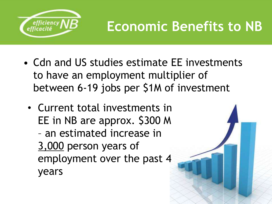

## **Economic Benefits to NB**

- Cdn and US studies estimate EE investments to have an employment multiplier of between 6-19 jobs per \$1M of investment
	- Current total investments in EE in NB are approx. \$300 M – an estimated increase in 3,000 person years of employment over the past 4 years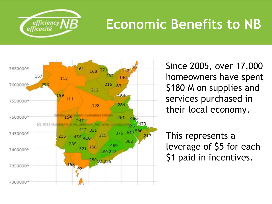

### **Economic Benefits to NB**



Since 2005, over 17,000 homeowners have spent \$180 M on supplies and services purchased in their local economy.

This represents a leverage of \$5 for each \$1 paid in incentives.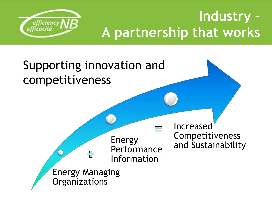

## **Industry – A partnership that works**

#### Supporting innovation and competitiveness

Energy Performance Information

Increased Competitiveness and Sustainability

Energy Managing **Organizations** 

.<br>다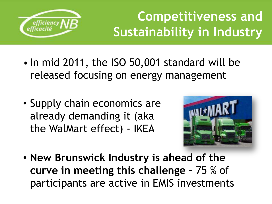

#### **Competitiveness and Sustainability in Industry**

- In mid 2011, the ISO 50,001 standard will be released focusing on energy management
- Supply chain economics are already demanding it (aka the WalMart effect) - IKEA



• **New Brunswick Industry is ahead of the curve in meeting this challenge –** 75 % of participants are active in EMIS investments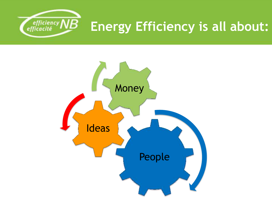

#### **Energy Efficiency is all about:**

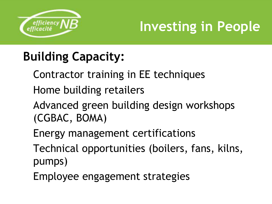

### **Investing in People**

#### **Building Capacity:**

- Contractor training in EE techniques
- Home building retailers
- Advanced green building design workshops (CGBAC, BOMA)
- Energy management certifications
- Technical opportunities (boilers, fans, kilns, pumps)
- Employee engagement strategies